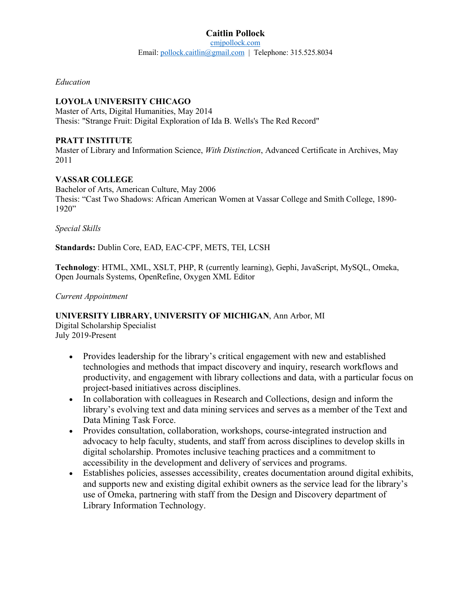*Education*

## **LOYOLA UNIVERSITY CHICAGO**

Master of Arts, Digital Humanities, May 2014 Thesis: "Strange Fruit: Digital Exploration of Ida B. Wells's The Red Record"

#### **PRATT INSTITUTE**

Master of Library and Information Science, *With Distinction*, Advanced Certificate in Archives, May 2011

#### **VASSAR COLLEGE**

Bachelor of Arts, American Culture, May 2006 Thesis: "Cast Two Shadows: African American Women at Vassar College and Smith College, 1890- 1920"

*Special Skills*

**Standards:** Dublin Core, EAD, EAC-CPF, METS, TEI, LCSH

**Technology**: HTML, XML, XSLT, PHP, R (currently learning), Gephi, JavaScript, MySQL, Omeka, Open Journals Systems, OpenRefine, Oxygen XML Editor

#### *Current Appointment*

## **UNIVERSITY LIBRARY, UNIVERSITY OF MICHIGAN**, Ann Arbor, MI

Digital Scholarship Specialist July 2019-Present

- Provides leadership for the library's critical engagement with new and established technologies and methods that impact discovery and inquiry, research workflows and productivity, and engagement with library collections and data, with a particular focus on project-based initiatives across disciplines.
- In collaboration with colleagues in Research and Collections, design and inform the library's evolving text and data mining services and serves as a member of the Text and Data Mining Task Force.
- Provides consultation, collaboration, workshops, course-integrated instruction and advocacy to help faculty, students, and staff from across disciplines to develop skills in digital scholarship. Promotes inclusive teaching practices and a commitment to accessibility in the development and delivery of services and programs.
- Establishes policies, assesses accessibility, creates documentation around digital exhibits, and supports new and existing digital exhibit owners as the service lead for the library's use of Omeka, partnering with staff from the Design and Discovery department of Library Information Technology.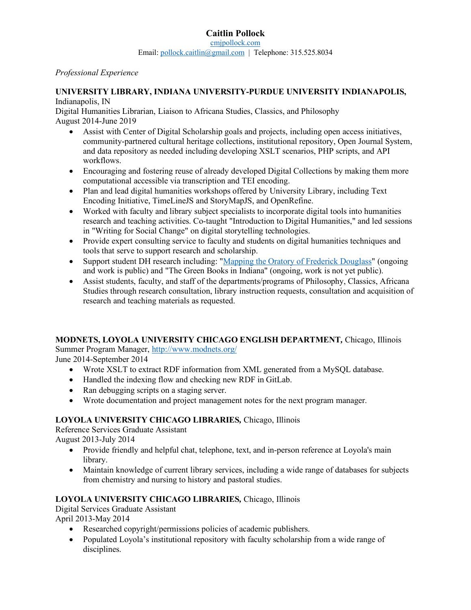#### *Professional Experience*

## **UNIVERSITY LIBRARY, INDIANA UNIVERSITY-PURDUE UNIVERSITY INDIANAPOLIS,**

#### Indianapolis, IN

Digital Humanities Librarian, Liaison to Africana Studies, Classics, and Philosophy August 2014-June 2019

- Assist with Center of Digital Scholarship goals and projects, including open access initiatives, community-partnered cultural heritage collections, institutional repository, Open Journal System, and data repository as needed including developing XSLT scenarios, PHP scripts, and API workflows.
- Encouraging and fostering reuse of already developed Digital Collections by making them more computational accessible via transcription and TEI encoding.
- Plan and lead digital humanities workshops offered by University Library, including Text Encoding Initiative, TimeLineJS and StoryMapJS, and OpenRefine.
- Worked with faculty and library subject specialists to incorporate digital tools into humanities research and teaching activities. Co-taught "Introduction to Digital Humanities," and led sessions in "Writing for Social Change" on digital storytelling technologies.
- Provide expert consulting service to faculty and students on digital humanities techniques and tools that serve to support research and scholarship.
- Support student DH research including: "Mapping the Oratory of Frederick Douglass" (ongoing and work is public) and "The Green Books in Indiana" (ongoing, work is not yet public).
- Assist students, faculty, and staff of the departments/programs of Philosophy, Classics, Africana Studies through research consultation, library instruction requests, consultation and acquisition of research and teaching materials as requested.

# **MODNETS, LOYOLA UNIVERSITY CHICAGO ENGLISH DEPARTMENT***,* Chicago, Illinois

Summer Program Manager, http://www.modnets.org/

June 2014-September 2014

- Wrote XSLT to extract RDF information from XML generated from a MySQL database.
- Handled the indexing flow and checking new RDF in GitLab.
- Ran debugging scripts on a staging server.
- Wrote documentation and project management notes for the next program manager.

## **LOYOLA UNIVERSITY CHICAGO LIBRARIES***,* Chicago, Illinois

Reference Services Graduate Assistant

August 2013-July 2014

- Provide friendly and helpful chat, telephone, text, and in-person reference at Loyola's main library.
- Maintain knowledge of current library services, including a wide range of databases for subjects from chemistry and nursing to history and pastoral studies.

# **LOYOLA UNIVERSITY CHICAGO LIBRARIES***,* Chicago, Illinois

Digital Services Graduate Assistant April 2013-May 2014

- Researched copyright/permissions policies of academic publishers.
- Populated Loyola's institutional repository with faculty scholarship from a wide range of disciplines.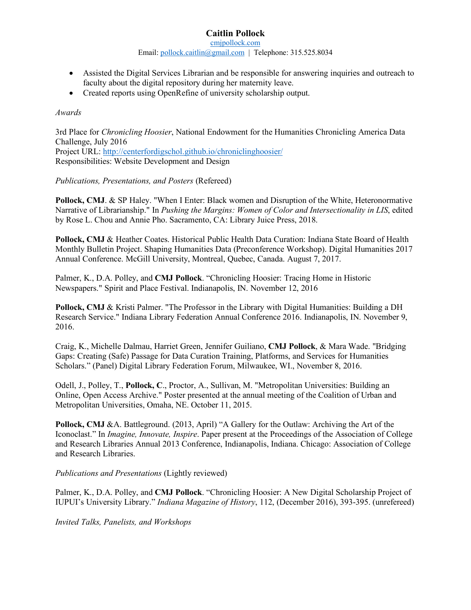# **Caitlin Pollock**

cmjpollock.com

Email: pollock.caitlin@gmail.com | Telephone: 315.525.8034

- Assisted the Digital Services Librarian and be responsible for answering inquiries and outreach to faculty about the digital repository during her maternity leave.
- Created reports using OpenRefine of university scholarship output.

### *Awards*

3rd Place for *Chronicling Hoosier*, National Endowment for the Humanities Chronicling America Data Challenge, July 2016 Project URL: http://centerfordigschol.github.io/chroniclinghoosier/ Responsibilities: Website Development and Design

#### *Publications, Presentations, and Posters* (Refereed)

**Pollock, CMJ. & SP Haley. "When I Enter: Black women and Disruption of the White, Heteronormative** Narrative of Librarianship." In *Pushing the Margins: Women of Color and Intersectionality in LIS*, edited by Rose L. Chou and Annie Pho. Sacramento, CA: Library Juice Press, 2018.

**Pollock, CMJ** & Heather Coates. Historical Public Health Data Curation: Indiana State Board of Health Monthly Bulletin Project. Shaping Humanities Data (Preconference Workshop). Digital Humanities 2017 Annual Conference. McGill University, Montreal, Quebec, Canada. August 7, 2017.

Palmer, K., D.A. Polley, and **CMJ Pollock**. "Chronicling Hoosier: Tracing Home in Historic Newspapers." Spirit and Place Festival. Indianapolis, IN. November 12, 2016

**Pollock, CMJ** & Kristi Palmer. "The Professor in the Library with Digital Humanities: Building a DH Research Service." Indiana Library Federation Annual Conference 2016. Indianapolis, IN. November 9, 2016.

Craig, K., Michelle Dalmau, Harriet Green, Jennifer Guiliano, **CMJ Pollock**, & Mara Wade. "Bridging Gaps: Creating (Safe) Passage for Data Curation Training, Platforms, and Services for Humanities Scholars." (Panel) Digital Library Federation Forum, Milwaukee, WI., November 8, 2016.

Odell, J., Polley, T., **Pollock, C**., Proctor, A., Sullivan, M. "Metropolitan Universities: Building an Online, Open Access Archive." Poster presented at the annual meeting of the Coalition of Urban and Metropolitan Universities, Omaha, NE. October 11, 2015.

**Pollock, CMJ** &A. Battleground. (2013, April) "A Gallery for the Outlaw: Archiving the Art of the Iconoclast." In *Imagine, Innovate, Inspire*. Paper present at the Proceedings of the Association of College and Research Libraries Annual 2013 Conference, Indianapolis, Indiana. Chicago: Association of College and Research Libraries.

*Publications and Presentations* (Lightly reviewed)

Palmer, K., D.A. Polley, and **CMJ Pollock**. "Chronicling Hoosier: A New Digital Scholarship Project of IUPUI's University Library." *Indiana Magazine of History*, 112, (December 2016), 393-395. (unrefereed)

*Invited Talks, Panelists, and Workshops*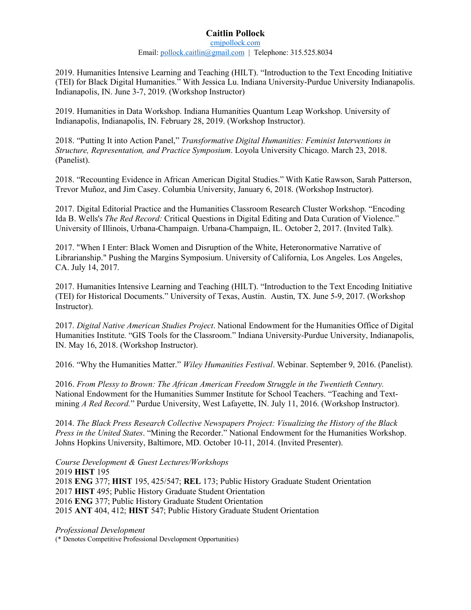## **Caitlin Pollock**

cmjpollock.com Email: pollock.caitlin@gmail.com | Telephone: 315.525.8034

2019. Humanities Intensive Learning and Teaching (HILT). "Introduction to the Text Encoding Initiative (TEI) for Black Digital Humanities." With Jessica Lu. Indiana University-Purdue University Indianapolis. Indianapolis, IN. June 3-7, 2019. (Workshop Instructor)

2019. Humanities in Data Workshop. Indiana Humanities Quantum Leap Workshop. University of Indianapolis, Indianapolis, IN. February 28, 2019. (Workshop Instructor).

2018. "Putting It into Action Panel," *Transformative Digital Humanities: Feminist Interventions in Structure, Representation, and Practice Symposium*. Loyola University Chicago. March 23, 2018. (Panelist).

2018. "Recounting Evidence in African American Digital Studies." With Katie Rawson, Sarah Patterson, Trevor Muñoz, and Jim Casey. Columbia University, January 6, 2018. (Workshop Instructor).

2017. Digital Editorial Practice and the Humanities Classroom Research Cluster Workshop. "Encoding Ida B. Wells's *The Red Record:* Critical Questions in Digital Editing and Data Curation of Violence." University of Illinois, Urbana-Champaign. Urbana-Champaign, IL. October 2, 2017. (Invited Talk).

2017. "When I Enter: Black Women and Disruption of the White, Heteronormative Narrative of Librarianship." Pushing the Margins Symposium. University of California, Los Angeles. Los Angeles, CA. July 14, 2017.

2017. Humanities Intensive Learning and Teaching (HILT). "Introduction to the Text Encoding Initiative (TEI) for Historical Documents." University of Texas, Austin. Austin, TX. June 5-9, 2017. (Workshop Instructor).

2017. *Digital Native American Studies Project*. National Endowment for the Humanities Office of Digital Humanities Institute. "GIS Tools for the Classroom." Indiana University-Purdue University, Indianapolis, IN. May 16, 2018. (Workshop Instructor).

2016. "Why the Humanities Matter." *Wiley Humanities Festival*. Webinar. September 9, 2016. (Panelist).

2016. *From Plessy to Brown: The African American Freedom Struggle in the Twentieth Century.*  National Endowment for the Humanities Summer Institute for School Teachers. "Teaching and Textmining *A Red Record.*" Purdue University, West Lafayette, IN. July 11, 2016. (Workshop Instructor).

2014. *The Black Press Research Collective Newspapers Project: Visualizing the History of the Black Press in the United States*. "Mining the Recorder." National Endowment for the Humanities Workshop. Johns Hopkins University, Baltimore, MD. October 10-11, 2014. (Invited Presenter).

*Course Development & Guest Lectures/Workshops* 2019 **HIST** 195 **ENG** 377; **HIST** 195, 425/547; **REL** 173; Public History Graduate Student Orientation **HIST** 495; Public History Graduate Student Orientation **ENG** 377; Public History Graduate Student Orientation **ANT** 404, 412; **HIST** 547; Public History Graduate Student Orientation

*Professional Development*

(\* Denotes Competitive Professional Development Opportunities)